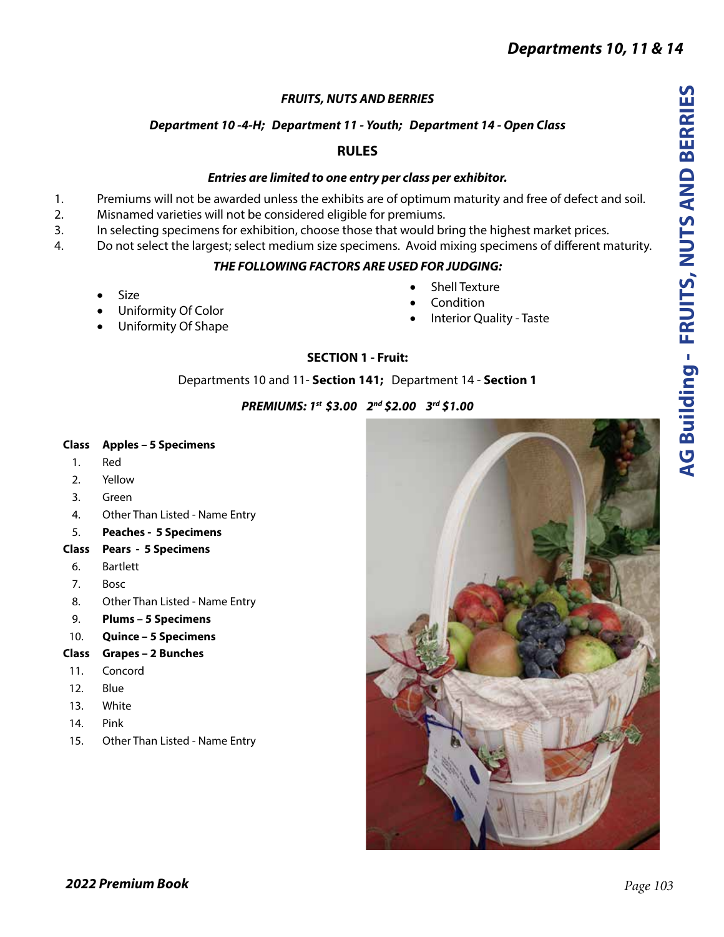# *FRUITS, NUTS AND BERRIES*

# *Department 10 -4-H; Department 11 - Youth; Department 14 - Open Class*

# **RULES**

## *Entries are limited to one entry per class per exhibitor.*

- 1. Premiums will not be awarded unless the exhibits are of optimum maturity and free of defect and soil.
- 2. Misnamed varieties will not be considered eligible for premiums.
- 3. In selecting specimens for exhibition, choose those that would bring the highest market prices.
- 4. Do not select the largest; select medium size specimens. Avoid mixing specimens of different maturity.

## *THE FOLLOWING FACTORS ARE USED FOR JUDGING:*

- **Size**
- Uniformity Of Color
- Uniformity Of Shape
- **Shell Texture**
- **Condition**
- **Interior Quality Taste**

## **SECTION 1 - Fruit:**

## Departments 10 and 11- **Section 141;** Department 14 - **Section 1**

## *PREMIUMS: 1st \$3.00 2nd \$2.00 3rd \$1.00*

## **Class Apples – 5 Specimens**

- 1. Red
- 2. Yellow
- 3. Green
- 4. Other Than Listed Name Entry
- 5. **Peaches 5 Specimens**
- **Class Pears 5 Specimens**
- 6. Bartlett
- 7. Bosc
- 8. Other Than Listed Name Entry
- 9. **Plums 5 Specimens**
- 10. **Quince 5 Specimens**

## **Class Grapes – 2 Bunches**

- 11. Concord
- 12. Blue
- 13. White
- 14. Pink
- 15. Other Than Listed Name Entry